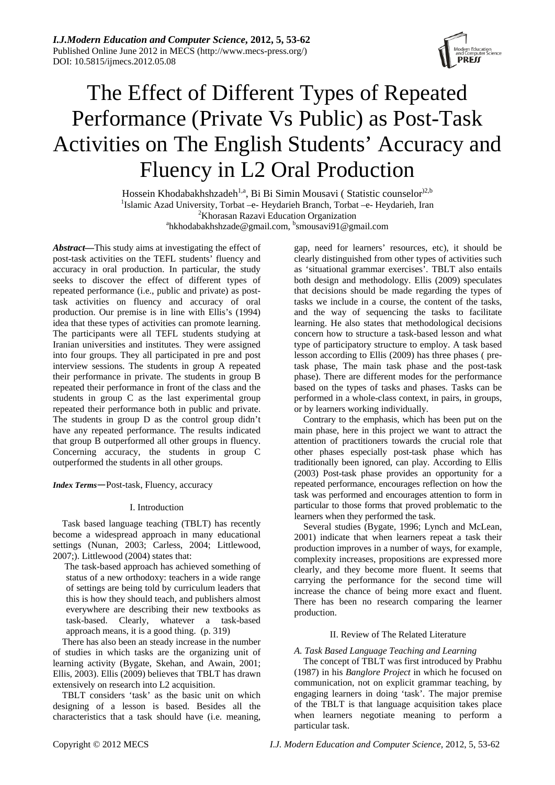

# The Effect of Different Types of Repeated Performance (Private Vs Public) as Post-Task Activities on The English Students' Accuracy and Fluency in L2 Oral Production

Hossein Khodabakhshzadeh<sup>1,a</sup>, Bi Bi Simin Mousavi ( Statistic counselor<sup>)2,b</sup> <sup>1</sup>Islamic Azad University, Torbat –e- Heydarieh Branch, Torbat –e- Heydarieh, Iran  $\frac{2\kappa_{\text{P}}}{2}$  ${}^{2}$ Khorasan Razavi Education Organization hkhodabakhshzade@gmail.com, <sup>b</sup>smousavi91@gmail.com

*Abstract—*This study aims at investigating the effect of post-task activities on the TEFL students' fluency and accuracy in oral production. In particular, the study seeks to discover the effect of different types of repeated performance (i.e., public and private) as posttask activities on fluency and accuracy of oral production. Our premise is in line with Ellis's (1994) idea that these types of activities can promote learning. The participants were all TEFL students studying at Iranian universities and institutes. They were assigned into four groups. They all participated in pre and post interview sessions. The students in group A repeated their performance in private. The students in group B repeated their performance in front of the class and the students in group C as the last experimental group repeated their performance both in public and private. The students in group D as the control group didn't have any repeated performance. The results indicated that group B outperformed all other groups in fluency. Concerning accuracy, the students in group C outperformed the students in all other groups.

*Index Terms*—Post-task, Fluency, accuracy

# I. Introduction

Task based language teaching (TBLT) has recently become a widespread approach in many educational settings (Nunan, 2003; Carless, 2004; Littlewood, 2007;). Littlewood (2004) states that:

 The task-based approach has achieved something of status of a new orthodoxy: teachers in a wide range of settings are being told by curriculum leaders that this is how they should teach, and publishers almost everywhere are describing their new textbooks as task-based. Clearly, whatever a task-based approach means, it is a good thing. (p. 319)

There has also been an steady increase in the number of studies in which tasks are the organizing unit of learning activity (Bygate, Skehan, and Awain, 2001; Ellis, 2003). Ellis (2009) believes that TBLT has drawn extensively on research into L2 acquisition.

TBLT considers 'task' as the basic unit on which designing of a lesson is based. Besides all the characteristics that a task should have (i.e. meaning,

gap, need for learners' resources, etc), it should be clearly distinguished from other types of activities such as 'situational grammar exercises'. TBLT also entails both design and methodology. Ellis (2009) speculates that decisions should be made regarding the types of tasks we include in a course, the content of the tasks, and the way of sequencing the tasks to facilitate learning. He also states that methodological decisions concern how to structure a task-based lesson and what type of participatory structure to employ. A task based lesson according to Ellis (2009) has three phases ( pretask phase, The main task phase and the post-task phase). There are different modes for the performance based on the types of tasks and phases. Tasks can be performed in a whole-class context, in pairs, in groups, or by learners working individually.

Contrary to the emphasis, which has been put on the main phase, here in this project we want to attract the attention of practitioners towards the crucial role that other phases especially post-task phase which has traditionally been ignored, can play. According to Ellis (2003) Post-task phase provides an opportunity for a repeated performance, encourages reflection on how the task was performed and encourages attention to form in particular to those forms that proved problematic to the learners when they performed the task.

Several studies (Bygate, 1996; Lynch and McLean, 2001) indicate that when learners repeat a task their production improves in a number of ways, for example, complexity increases, propositions are expressed more clearly, and they become more fluent. It seems that carrying the performance for the second time will increase the chance of being more exact and fluent. There has been no research comparing the learner production.

# II. Review of The Related Literature

# *A. Task Based Language Teaching and Learning*

The concept of TBLT was first introduced by Prabhu (1987) in his *Banglore Project* in which he focused on communication, not on explicit grammar teaching, by engaging learners in doing 'task'. The major premise of the TBLT is that language acquisition takes place when learners negotiate meaning to perform a particular task.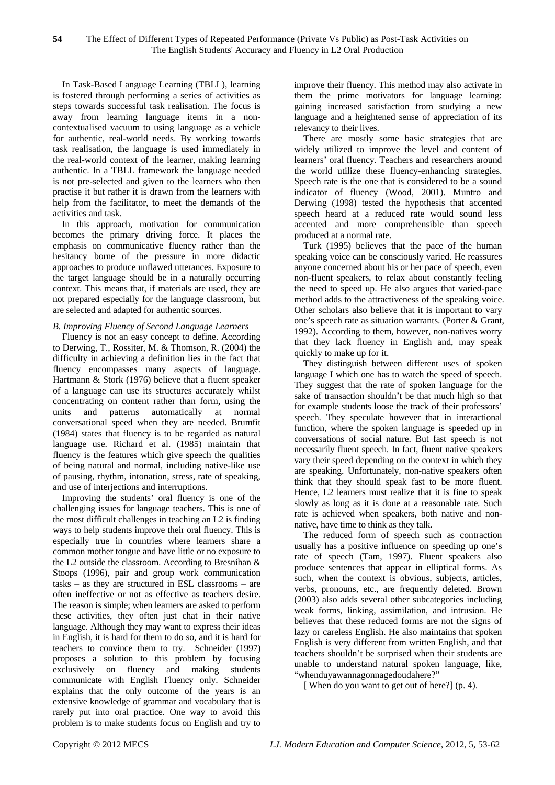In Task-Based Language Learning (TBLL), learning is fostered through performing a series of activities as steps towards successful task realisation. The focus is away from learning language items in a noncontextualised vacuum to using language as a vehicle for authentic, real-world needs. By working towards task realisation, the language is used immediately in the real-world context of the learner, making learning authentic. In a TBLL framework the language needed is not pre-selected and given to the learners who then practise it but rather it is drawn from the learners with help from the facilitator, to meet the demands of the activities and task.

In this approach, motivation for communication becomes the primary driving force. It places the emphasis on communicative fluency rather than the hesitancy borne of the pressure in more didactic approaches to produce unflawed utterances. Exposure to the target language should be in a naturally occurring context. This means that, if materials are used, they are not prepared especially for the language classroom, but are selected and adapted for authentic sources.

# *B. Improving Fluency of Second Language Learners*

Fluency is not an easy concept to define. According to Derwing, T., Rossiter, M. & Thomson, R. (2004) the difficulty in achieving a definition lies in the fact that fluency encompasses many aspects of language. Hartmann & Stork (1976) believe that a fluent speaker of a language can use its structures accurately whilst concentrating on content rather than form, using the units and patterns automatically at normal conversational speed when they are needed. Brumfit (1984) states that fluency is to be regarded as natural language use. Richard et al. (1985) maintain that fluency is the features which give speech the qualities of being natural and normal, including native-like use of pausing, rhythm, intonation, stress, rate of speaking, and use of interjections and interruptions.

Improving the students' oral fluency is one of the challenging issues for language teachers. This is one of the most difficult challenges in teaching an L2 is finding ways to help students improve their oral fluency. This is especially true in countries where learners share a common mother tongue and have little or no exposure to the L2 outside the classroom. According to Bresnihan & Stoops (1996), pair and group work communication tasks – as they are structured in ESL classrooms – are often ineffective or not as effective as teachers desire. The reason is simple; when learners are asked to perform these activities, they often just chat in their native language. Although they may want to express their ideas in English, it is hard for them to do so, and it is hard for teachers to convince them to try. Schneider (1997) proposes a solution to this problem by focusing exclusively on fluency and making students communicate with English Fluency only. Schneider explains that the only outcome of the years is an extensive knowledge of grammar and vocabulary that is rarely put into oral practice. One way to avoid this problem is to make students focus on English and try to

improve their fluency. This method may also activate in them the prime motivators for language learning: gaining increased satisfaction from studying a new language and a heightened sense of appreciation of its relevancy to their lives.

There are mostly some basic strategies that are widely utilized to improve the level and content of learners' oral fluency. Teachers and researchers around the world utilize these fluency-enhancing strategies. Speech rate is the one that is considered to be a sound indicator of fluency (Wood, 2001). Muntro and Derwing (1998) tested the hypothesis that accented speech heard at a reduced rate would sound less accented and more comprehensible than speech produced at a normal rate.

Turk (1995) believes that the pace of the human speaking voice can be consciously varied. He reassures anyone concerned about his or her pace of speech, even non-fluent speakers, to relax about constantly feeling the need to speed up. He also argues that varied-pace method adds to the attractiveness of the speaking voice. Other scholars also believe that it is important to vary one's speech rate as situation warrants. (Porter & Grant, 1992). According to them, however, non-natives worry that they lack fluency in English and, may speak quickly to make up for it.

They distinguish between different uses of spoken language I which one has to watch the speed of speech. They suggest that the rate of spoken language for the sake of transaction shouldn't be that much high so that for example students loose the track of their professors' speech. They speculate however that in interactional function, where the spoken language is speeded up in conversations of social nature. But fast speech is not necessarily fluent speech. In fact, fluent native speakers vary their speed depending on the context in which they are speaking. Unfortunately, non-native speakers often think that they should speak fast to be more fluent. Hence, L2 learners must realize that it is fine to speak slowly as long as it is done at a reasonable rate. Such rate is achieved when speakers, both native and nonnative, have time to think as they talk.

The reduced form of speech such as contraction usually has a positive influence on speeding up one's rate of speech (Tam, 1997). Fluent speakers also produce sentences that appear in elliptical forms. As such, when the context is obvious, subjects, articles, verbs, pronouns, etc., are frequently deleted. Brown (2003) also adds several other subcategories including weak forms, linking, assimilation, and intrusion. He believes that these reduced forms are not the signs of lazy or careless English. He also maintains that spoken English is very different from written English, and that teachers shouldn't be surprised when their students are unable to understand natural spoken language, like, "whenduyawannagonnagedoudahere?"

[ When do you want to get out of here?] (p. 4).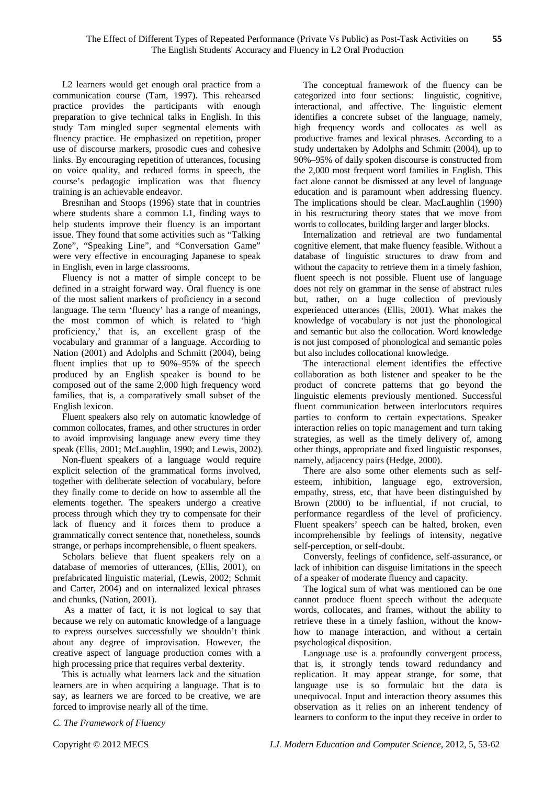L2 learners would get enough oral practice from a communication course (Tam, 1997). This rehearsed practice provides the participants with enough preparation to give technical talks in English. In this study Tam mingled super segmental elements with fluency practice. He emphasized on repetition, proper use of discourse markers, prosodic cues and cohesive links. By encouraging repetition of utterances, focusing on voice quality, and reduced forms in speech, the course's pedagogic implication was that fluency training is an achievable endeavor.

Bresnihan and Stoops (1996) state that in countries where students share a common L1, finding ways to help students improve their fluency is an important issue. They found that some activities such as "Talking Zone", "Speaking Line", and "Conversation Game" were very effective in encouraging Japanese to speak in English, even in large classrooms.

Fluency is not a matter of simple concept to be defined in a straight forward way. Oral fluency is one of the most salient markers of proficiency in a second language. The term 'fluency' has a range of meanings, the most common of which is related to 'high proficiency,' that is, an excellent grasp of the vocabulary and grammar of a language. According to Nation (2001) and Adolphs and Schmitt (2004), being fluent implies that up to 90%–95% of the speech produced by an English speaker is bound to be composed out of the same 2,000 high frequency word families, that is, a comparatively small subset of the English lexicon.

Fluent speakers also rely on automatic knowledge of common collocates, frames, and other structures in order to avoid improvising language anew every time they speak (Ellis, 2001; McLaughlin, 1990; and Lewis, 2002).

Non-fluent speakers of a language would require explicit selection of the grammatical forms involved, together with deliberate selection of vocabulary, before they finally come to decide on how to assemble all the elements together. The speakers undergo a creative process through which they try to compensate for their lack of fluency and it forces them to produce a grammatically correct sentence that, nonetheless, sounds strange, or perhaps incomprehensible, o fluent speakers.

Scholars believe that fluent speakers rely on a database of memories of utterances, (Ellis, 2001), on prefabricated linguistic material, (Lewis, 2002; Schmit and Carter, 2004) and on internalized lexical phrases and chunks, (Nation, 2001).

 As a matter of fact, it is not logical to say that because we rely on automatic knowledge of a language to express ourselves successfully we shouldn't think about any degree of improvisation. However, the creative aspect of language production comes with a high processing price that requires verbal dexterity.

This is actually what learners lack and the situation learners are in when acquiring a language. That is to say, as learners we are forced to be creative, we are forced to improvise nearly all of the time.

The conceptual framework of the fluency can be categorized into four sections: linguistic, cognitive, interactional, and affective. The linguistic element identifies a concrete subset of the language, namely, high frequency words and collocates as well as productive frames and lexical phrases. According to a study undertaken by Adolphs and Schmitt (2004), up to 90%–95% of daily spoken discourse is constructed from the 2,000 most frequent word families in English. This fact alone cannot be dismissed at any level of language education and is paramount when addressing fluency. The implications should be clear. MacLaughlin (1990) in his restructuring theory states that we move from words to collocates, building larger and larger blocks.

Internalization and retrieval are two fundamental cognitive element, that make fluency feasible. Without a database of linguistic structures to draw from and without the capacity to retrieve them in a timely fashion, fluent speech is not possible. Fluent use of language does not rely on grammar in the sense of abstract rules but, rather, on a huge collection of previously experienced utterances (Ellis, 2001). What makes the knowledge of vocabulary is not just the phonological and semantic but also the collocation. Word knowledge is not just composed of phonological and semantic poles but also includes collocational knowledge.

The interactional element identifies the effective collaboration as both listener and speaker to be the product of concrete patterns that go beyond the linguistic elements previously mentioned. Successful fluent communication between interlocutors requires parties to conform to certain expectations. Speaker interaction relies on topic management and turn taking strategies, as well as the timely delivery of, among other things, appropriate and fixed linguistic responses, namely, adjacency pairs (Hedge, 2000).

There are also some other elements such as selfesteem, inhibition, language ego, extroversion, empathy, stress, etc, that have been distinguished by Brown (2000) to be influential, if not crucial, to performance regardless of the level of proficiency. Fluent speakers' speech can be halted, broken, even incomprehensible by feelings of intensity, negative self-perception, or self-doubt.

Conversly, feelings of confidence, self-assurance, or lack of inhibition can disguise limitations in the speech of a speaker of moderate fluency and capacity.

The logical sum of what was mentioned can be one cannot produce fluent speech without the adequate words, collocates, and frames, without the ability to retrieve these in a timely fashion, without the knowhow to manage interaction, and without a certain psychological disposition.

Language use is a profoundly convergent process, that is, it strongly tends toward redundancy and replication. It may appear strange, for some, that language use is so formulaic but the data is unequivocal. Input and interaction theory assumes this observation as it relies on an inherent tendency of learners to conform to the input they receive in order to

*C. The Framework of Fluency*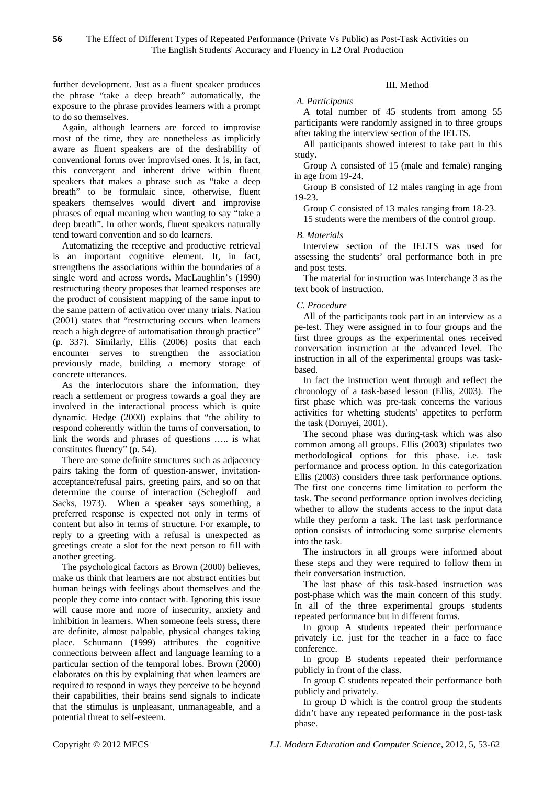further development. Just as a fluent speaker produces the phrase "take a deep breath" automatically, the exposure to the phrase provides learners with a prompt to do so themselves.

Again, although learners are forced to improvise most of the time, they are nonetheless as implicitly aware as fluent speakers are of the desirability of conventional forms over improvised ones. It is, in fact, this convergent and inherent drive within fluent speakers that makes a phrase such as "take a deep breath" to be formulaic since, otherwise, fluent speakers themselves would divert and improvise phrases of equal meaning when wanting to say "take a deep breath". In other words, fluent speakers naturally tend toward convention and so do learners.

Automatizing the receptive and productive retrieval is an important cognitive element. It, in fact, strengthens the associations within the boundaries of a single word and across words. MacLaughlin's (1990) restructuring theory proposes that learned responses are the product of consistent mapping of the same input to the same pattern of activation over many trials. Nation (2001) states that "restructuring occurs when learners reach a high degree of automatisation through practice" (p. 337). Similarly, Ellis (2006) posits that each encounter serves to strengthen the association previously made, building a memory storage of concrete utterances.

As the interlocutors share the information, they reach a settlement or progress towards a goal they are involved in the interactional process which is quite dynamic. Hedge (2000) explains that "the ability to respond coherently within the turns of conversation, to link the words and phrases of questions ….. is what constitutes fluency" (p. 54).

There are some definite structures such as adjacency pairs taking the form of question-answer, invitationacceptance/refusal pairs, greeting pairs, and so on that determine the course of interaction (Schegloff and Sacks, 1973). When a speaker says something, a preferred response is expected not only in terms of content but also in terms of structure. For example, to reply to a greeting with a refusal is unexpected as greetings create a slot for the next person to fill with another greeting.

The psychological factors as Brown (2000) believes, make us think that learners are not abstract entities but human beings with feelings about themselves and the people they come into contact with. Ignoring this issue will cause more and more of insecurity, anxiety and inhibition in learners. When someone feels stress, there are definite, almost palpable, physical changes taking place. Schumann (1999) attributes the cognitive connections between affect and language learning to a particular section of the temporal lobes. Brown (2000) elaborates on this by explaining that when learners are required to respond in ways they perceive to be beyond their capabilities, their brains send signals to indicate that the stimulus is unpleasant, unmanageable, and a potential threat to self-esteem.

# III. Method

#### *A. Participants*

A total number of 45 students from among 55 participants were randomly assigned in to three groups after taking the interview section of the IELTS.

All participants showed interest to take part in this study.

Group A consisted of 15 (male and female) ranging in age from 19-24.

Group B consisted of 12 males ranging in age from 19-23.

Group C consisted of 13 males ranging from 18-23. 15 students were the members of the control group.

#### *B. Materials*

Interview section of the IELTS was used for assessing the students' oral performance both in pre and post tests.

The material for instruction was Interchange 3 as the text book of instruction.

#### *C. Procedure*

All of the participants took part in an interview as a pe-test. They were assigned in to four groups and the first three groups as the experimental ones received conversation instruction at the advanced level. The instruction in all of the experimental groups was taskbased.

In fact the instruction went through and reflect the chronology of a task-based lesson (Ellis, 2003). The first phase which was pre-task concerns the various activities for whetting students' appetites to perform the task (Dornyei, 2001).

The second phase was during-task which was also common among all groups. Ellis (2003) stipulates two methodological options for this phase. i.e. task performance and process option. In this categorization Ellis (2003) considers three task performance options. The first one concerns time limitation to perform the task. The second performance option involves deciding whether to allow the students access to the input data while they perform a task. The last task performance option consists of introducing some surprise elements into the task.

The instructors in all groups were informed about these steps and they were required to follow them in their conversation instruction.

The last phase of this task-based instruction was post-phase which was the main concern of this study. In all of the three experimental groups students repeated performance but in different forms.

In group A students repeated their performance privately i.e. just for the teacher in a face to face conference.

In group B students repeated their performance publicly in front of the class.

In group C students repeated their performance both publicly and privately.

In group D which is the control group the students didn't have any repeated performance in the post-task phase.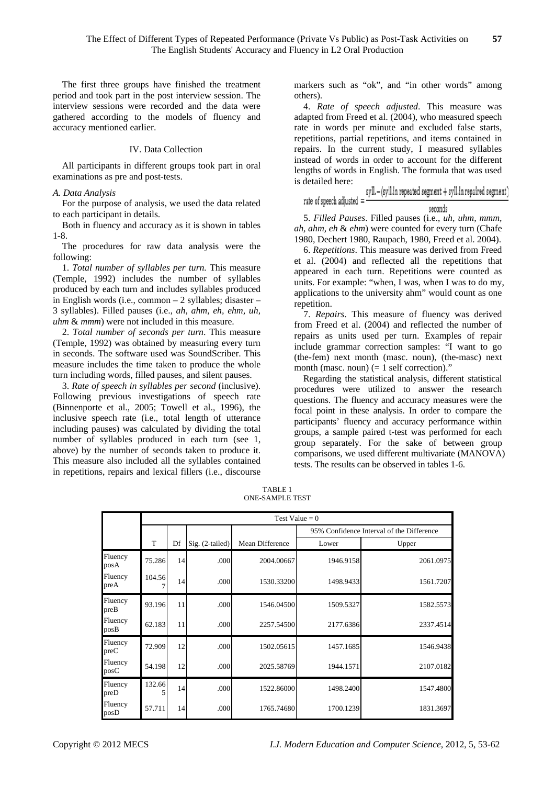The first three groups have finished the treatment period and took part in the post interview session. The interview sessions were recorded and the data were gathered according to the models of fluency and accuracy mentioned earlier.

# IV. Data Collection

All participants in different groups took part in oral examinations as pre and post-tests.

#### *A. Data Analysis*

For the purpose of analysis, we used the data related to each participant in details.

Both in fluency and accuracy as it is shown in tables 1-8.

The procedures for raw data analysis were the following:

1. *Total number of syllables per turn.* This measure (Temple, 1992) includes the number of syllables produced by each turn and includes syllables produced in English words (i.e., common – 2 syllables; disaster – 3 syllables). Filled pauses (i.e., *ah, ahm, eh, ehm, uh, uhm* & *mmm*) were not included in this measure.

2. *Total number of seconds per turn*. This measure (Temple, 1992) was obtained by measuring every turn in seconds. The software used was SoundScriber. This measure includes the time taken to produce the whole turn including words, filled pauses, and silent pauses.

3. *Rate of speech in syllables per second* (inclusive). Following previous investigations of speech rate (Binnenporte et al., 2005; Towell et al., 1996), the inclusive speech rate (i.e., total length of utterance including pauses) was calculated by dividing the total number of syllables produced in each turn (see 1, above) by the number of seconds taken to produce it. This measure also included all the syllables contained in repetitions, repairs and lexical fillers (i.e., discourse

markers such as "ok", and "in other words" among others).

4. *Rate of speech adjusted*. This measure was adapted from Freed et al. (2004), who measured speech rate in words per minute and excluded false starts, repetitions, partial repetitions, and items contained in repairs. In the current study, I measured syllables instead of words in order to account for the different lengths of words in English. The formula that was used is detailed here:

#### syll.-(syll.in repeated segment + syll.in repaired segment) rate of speech adjusted = seconds

5. *Filled Pauses*. Filled pauses (i.e., *uh, uhm, mmm, ah, ahm, eh* & *ehm*) were counted for every turn (Chafe 1980, Dechert 1980, Raupach, 1980, Freed et al. 2004).

6. *Repetitions*. This measure was derived from Freed et al. (2004) and reflected all the repetitions that appeared in each turn. Repetitions were counted as units. For example: "when, I was, when I was to do my, applications to the university ahm" would count as one repetition.

7. *Repairs*. This measure of fluency was derived from Freed et al. (2004) and reflected the number of repairs as units used per turn. Examples of repair include grammar correction samples: "I want to go (the-fem) next month (masc. noun), (the-masc) next month (masc. noun)  $(= 1 \text{ self correction})$ ."

Regarding the statistical analysis, different statistical procedures were utilized to answer the research questions. The fluency and accuracy measures were the focal point in these analysis. In order to compare the participants' fluency and accuracy performance within groups, a sample paired t-test was performed for each group separately. For the sake of between group comparisons, we used different multivariate (MANOVA) tests. The results can be observed in tables 1-6.

TABLE 1 ONE-SAMPLE TEST

|                 | Test Value = $0$ |    |                   |                 |                                           |           |  |
|-----------------|------------------|----|-------------------|-----------------|-------------------------------------------|-----------|--|
|                 |                  |    |                   |                 | 95% Confidence Interval of the Difference |           |  |
|                 | T                | Df | $Sig. (2-tailed)$ | Mean Difference | Lower                                     | Upper     |  |
| Fluency<br>posA | 75.286           | 14 | .000              | 2004.00667      | 1946.9158                                 | 2061.0975 |  |
| Fluency<br>preA | 104.56           | 14 | .000              | 1530.33200      | 1498.9433                                 | 1561.7207 |  |
| Fluency<br>preB | 93.196           | 11 | .000              | 1546.04500      | 1509.5327                                 | 1582.5573 |  |
| Fluency<br>posB | 62.183           | 11 | .000              | 2257.54500      | 2177.6386                                 | 2337.4514 |  |
| Fluency<br>preC | 72.909           | 12 | .000              | 1502.05615      | 1457.1685                                 | 1546.9438 |  |
| Fluency<br>posC | 54.198           | 12 | .000              | 2025.58769      | 1944.1571                                 | 2107.0182 |  |
| Fluency<br>preD | 132.66<br>5      | 14 | .000              | 1522.86000      | 1498.2400                                 | 1547.4800 |  |
| Fluency<br>posD | 57.711           | 14 | .000              | 1765.74680      | 1700.1239                                 | 1831.3697 |  |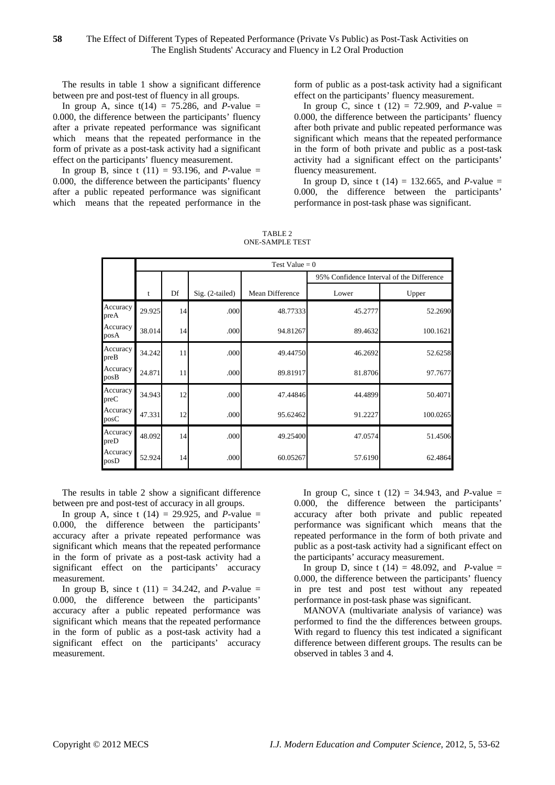The results in table 1 show a significant difference between pre and post-test of fluency in all groups.

In group A, since  $t(14) = 75.286$ , and *P*-value = 0.000, the difference between the participants' fluency after a private repeated performance was significant which means that the repeated performance in the form of private as a post-task activity had a significant effect on the participants' fluency measurement.

In group B, since t  $(11) = 93.196$ , and *P*-value = 0.000, the difference between the participants' fluency after a public repeated performance was significant which means that the repeated performance in the form of public as a post-task activity had a significant effect on the participants' fluency measurement.

In group C, since t  $(12) = 72.909$ , and *P*-value = 0.000, the difference between the participants' fluency after both private and public repeated performance was significant which means that the repeated performance in the form of both private and public as a post-task activity had a significant effect on the participants' fluency measurement.

In group D, since t  $(14) = 132.665$ , and *P*-value = 0.000, the difference between the participants' performance in post-task phase was significant.

|                  |        | Test Value = $0$ |                   |                 |                                           |          |  |  |
|------------------|--------|------------------|-------------------|-----------------|-------------------------------------------|----------|--|--|
|                  |        |                  |                   |                 | 95% Confidence Interval of the Difference |          |  |  |
|                  | t      | Df               | $Sig. (2-tailed)$ | Mean Difference | Lower                                     | Upper    |  |  |
| Accuracy<br>preA | 29.925 | 14               | .000              | 48.77333        | 45.2777                                   | 52.2690  |  |  |
| Accuracy<br>posA | 38.014 | 14               | .000              | 94.81267        | 89.4632                                   | 100.1621 |  |  |
| Accuracy<br>preB | 34.242 | 11               | .000              | 49.44750        | 46.2692                                   | 52.6258  |  |  |
| Accuracy<br>posB | 24.871 | 11               | .000              | 89.81917        | 81.8706                                   | 97.7677  |  |  |
| Accuracy<br>preC | 34.943 | 12               | .000              | 47.44846        | 44.4899                                   | 50.4071  |  |  |
| Accuracy<br>posC | 47.331 | 12               | .000              | 95.62462        | 91.2227                                   | 100.0265 |  |  |
| Accuracy<br>preD | 48.092 | 14               | .000              | 49.25400        | 47.0574                                   | 51.4506  |  |  |
| Accuracy<br>posD | 52.924 | 14               | .000              | 60.05267        | 57.6190                                   | 62.4864  |  |  |

TABLE 2 ONE-SAMPLE TEST

The results in table 2 show a significant difference between pre and post-test of accuracy in all groups.

In group A, since t  $(14) = 29.925$ , and *P*-value = 0.000, the difference between the participants' accuracy after a private repeated performance was significant which means that the repeated performance in the form of private as a post-task activity had a significant effect on the participants' accuracy measurement.

In group B, since t  $(11) = 34.242$ , and *P*-value = 0.000, the difference between the participants' accuracy after a public repeated performance was significant which means that the repeated performance in the form of public as a post-task activity had a significant effect on the participants' accuracy measurement.

In group C, since t  $(12) = 34.943$ , and *P*-value = 0.000, the difference between the participants' accuracy after both private and public repeated performance was significant which means that the repeated performance in the form of both private and public as a post-task activity had a significant effect on the participants' accuracy measurement.

In group D, since t  $(14) = 48.092$ , and *P*-value = 0.000, the difference between the participants' fluency in pre test and post test without any repeated performance in post-task phase was significant.

MANOVA (multivariate analysis of variance) was performed to find the the differences between groups. With regard to fluency this test indicated a significant difference between different groups. The results can be observed in tables 3 and 4.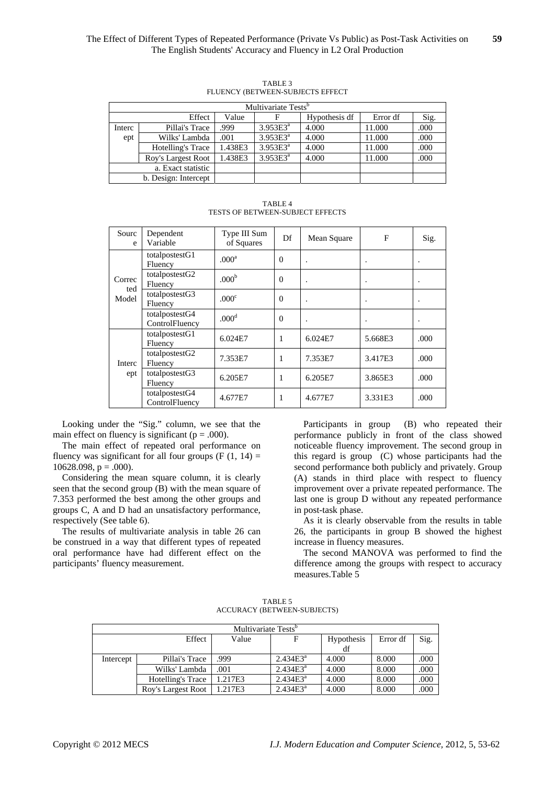| Multivariate Tests <sup>b</sup> |                      |         |               |               |          |      |  |  |
|---------------------------------|----------------------|---------|---------------|---------------|----------|------|--|--|
|                                 | Effect               | Value   |               | Hypothesis df | Error df | Sig. |  |  |
| Interc                          | Pillai's Trace       | .999    | $3.953E3^a$   | 4.000         | 11.000   | .000 |  |  |
| ept                             | Wilks' Lambda        | .001    | $3.953E3^{a}$ | 4.000         | 11.000   | .000 |  |  |
|                                 | Hotelling's Trace    | 1.438E3 | $3.953E3^{a}$ | 4.000         | 11.000   | .000 |  |  |
|                                 | Roy's Largest Root   | 1.438E3 | $3.953E3^{a}$ | 4.000         | 11.000   | .000 |  |  |
|                                 | a. Exact statistic   |         |               |               |          |      |  |  |
|                                 | b. Design: Intercept |         |               |               |          |      |  |  |

TABLE 3 FLUENCY (BETWEEN-SUBJECTS EFFECT

TABLE 4 TESTS OF BETWEEN-SUBJECT EFFECTS

| Sourc<br>e             | Dependent<br>Variable            | Type III Sum<br>of Squares | Df             | Mean Square | F       | Sig. |
|------------------------|----------------------------------|----------------------------|----------------|-------------|---------|------|
| Correc<br>ted<br>Model | totalpostestG1<br>Fluency        | .000 <sup>a</sup>          | $\overline{0}$ |             |         |      |
|                        | totalpostestG2<br>Fluency        | .000 <sup>b</sup>          | $\theta$       |             |         |      |
|                        | totalpostestG3<br>Fluency        | .000 <sup>c</sup>          | $\theta$       |             |         |      |
|                        | totalpostestG4<br>ControlFluency | .000 <sup>d</sup>          | $\theta$       |             |         |      |
|                        | totalpostestG1<br>Fluency        | 6.024E7                    | 1              | 6.024E7     | 5.668E3 | .000 |
| Interc<br>ept          | totalpostestG2<br>Fluency        | 7.353E7                    | 1              | 7.353E7     | 3.417E3 | .000 |
|                        | totalpostestG3<br>Fluency        | 6.205E7                    | 1              | 6.205E7     | 3.865E3 | .000 |
|                        | totalpostestG4<br>ControlFluency | 4.677E7                    | 1              | 4.677E7     | 3.331E3 | .000 |

Looking under the "Sig." column, we see that the main effect on fluency is significant ( $p = .000$ ).

The main effect of repeated oral performance on fluency was significant for all four groups  $(F (1, 14)) =$  $10628.098$ ,  $p = .000$ ).

Considering the mean square column, it is clearly seen that the second group (B) with the mean square of 7.353 performed the best among the other groups and groups C, A and D had an unsatisfactory performance, respectively (See table 6).

The results of multivariate analysis in table 26 can be construed in a way that different types of repeated oral performance have had different effect on the participants' fluency measurement.

Participants in group (B) who repeated their performance publicly in front of the class showed noticeable fluency improvement. The second group in this regard is group (C) whose participants had the second performance both publicly and privately. Group (A) stands in third place with respect to fluency improvement over a private repeated performance. The last one is group D without any repeated performance in post-task phase.

As it is clearly observable from the results in table 26, the participants in group B showed the highest increase in fluency measures.

The second MANOVA was performed to find the difference among the groups with respect to accuracy measures.Table 5

TABLE 5 ACCURACY (BETWEEN-SUBJECTS)

| Multivariate Tests <sup>o</sup> |                    |         |             |                   |          |      |  |  |
|---------------------------------|--------------------|---------|-------------|-------------------|----------|------|--|--|
|                                 | Effect             | Value   |             | <b>Hypothesis</b> | Error df | Sig. |  |  |
|                                 |                    |         |             | df                |          |      |  |  |
| Intercept                       | Pillai's Trace     | .999    | $2.434E3^a$ | 4.000             | 8.000    | .000 |  |  |
|                                 | Wilks' Lambda      | .001    | $2.434E3^a$ | 4.000             | 8.000    | .000 |  |  |
|                                 | Hotelling's Trace  | 1.217E3 | $2.434E3^a$ | 4.000             | 8.000    | .000 |  |  |
|                                 | Roy's Largest Root | 1.217E3 | $2.434E3^a$ | 4.000             | 8.000    | .000 |  |  |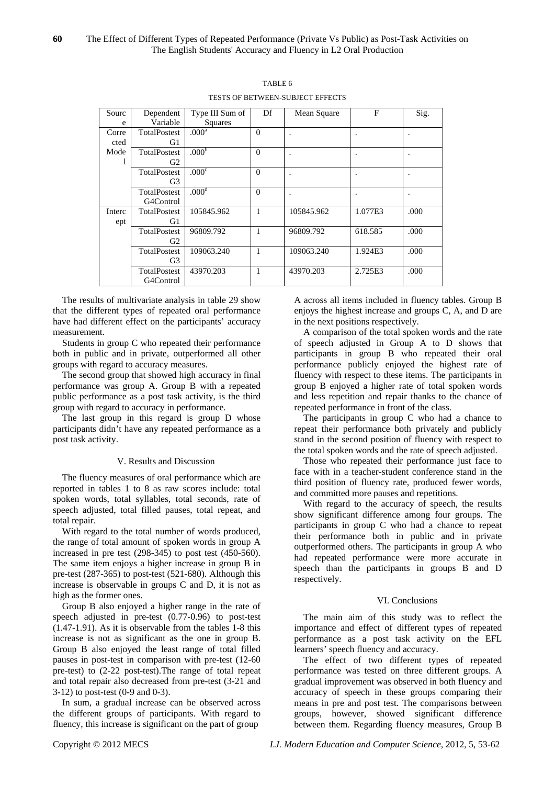| Sourc  | Dependent           | Type III Sum of   | Df           | Mean Square | $\mathbf{F}$ | Sig.    |
|--------|---------------------|-------------------|--------------|-------------|--------------|---------|
| e      | Variable            | Squares           |              |             |              |         |
| Corre  | <b>TotalPostest</b> | .000 <sup>a</sup> | $\Omega$     |             |              | $\cdot$ |
| cted   | G1                  |                   |              |             |              |         |
| Mode   | <b>TotalPostest</b> | .000 <sup>b</sup> | $\Omega$     |             |              | $\cdot$ |
|        | G <sub>2</sub>      |                   |              |             |              |         |
|        | TotalPostest        | .000 <sup>c</sup> | $\Omega$     |             |              |         |
|        | G3                  |                   |              |             |              |         |
|        | TotalPostest        | .000 <sup>d</sup> | $\Omega$     |             |              |         |
|        | G4Control           |                   |              |             |              |         |
| Interc | TotalPostest        | 105845.962        | 1            | 105845.962  | 1.077E3      | .000    |
| ept    | G1                  |                   |              |             |              |         |
|        | TotalPostest        | 96809.792         | 1            | 96809.792   | 618.585      | .000    |
|        | G2                  |                   |              |             |              |         |
|        | TotalPostest        | 109063.240        | $\mathbf{1}$ | 109063.240  | 1.924E3      | .000    |
|        | G3                  |                   |              |             |              |         |
|        | TotalPostest        | 43970.203         | 1            | 43970.203   | 2.725E3      | .000    |
|        | G4Control           |                   |              |             |              |         |

TABLE 6 TESTS OF BETWEEN-SUBJECT EFFECTS

The results of multivariate analysis in table 29 show that the different types of repeated oral performance have had different effect on the participants' accuracy measurement.

Students in group C who repeated their performance both in public and in private, outperformed all other groups with regard to accuracy measures.

The second group that showed high accuracy in final performance was group A. Group B with a repeated public performance as a post task activity, is the third group with regard to accuracy in performance.

The last group in this regard is group D whose participants didn't have any repeated performance as a post task activity.

# V. Results and Discussion

The fluency measures of oral performance which are reported in tables 1 to 8 as raw scores include: total spoken words, total syllables, total seconds, rate of speech adjusted, total filled pauses, total repeat, and total repair.

With regard to the total number of words produced, the range of total amount of spoken words in group A increased in pre test (298-345) to post test (450-560). The same item enjoys a higher increase in group B in pre-test (287-365) to post-test (521-680). Although this increase is observable in groups C and D, it is not as high as the former ones.

Group B also enjoyed a higher range in the rate of speech adjusted in pre-test (0.77-0.96) to post-test (1.47-1.91). As it is observable from the tables 1-8 this increase is not as significant as the one in group B. Group B also enjoyed the least range of total filled pauses in post-test in comparison with pre-test (12-60 pre-test) to (2-22 post-test).The range of total repeat and total repair also decreased from pre-test (3-21 and 3-12) to post-test (0-9 and 0-3).

In sum, a gradual increase can be observed across the different groups of participants. With regard to fluency, this increase is significant on the part of group

A across all items included in fluency tables. Group B enjoys the highest increase and groups C, A, and D are in the next positions respectively.

A comparison of the total spoken words and the rate of speech adjusted in Group A to D shows that participants in group B who repeated their oral performance publicly enjoyed the highest rate of fluency with respect to these items. The participants in group B enjoyed a higher rate of total spoken words and less repetition and repair thanks to the chance of repeated performance in front of the class.

The participants in group C who had a chance to repeat their performance both privately and publicly stand in the second position of fluency with respect to the total spoken words and the rate of speech adjusted.

Those who repeated their performance just face to face with in a teacher-student conference stand in the third position of fluency rate, produced fewer words, and committed more pauses and repetitions.

With regard to the accuracy of speech, the results show significant difference among four groups. The participants in group C who had a chance to repeat their performance both in public and in private outperformed others. The participants in group A who had repeated performance were more accurate in speech than the participants in groups B and D respectively.

# VI. Conclusions

The main aim of this study was to reflect the importance and effect of different types of repeated performance as a post task activity on the EFL learners' speech fluency and accuracy.

The effect of two different types of repeated performance was tested on three different groups. A gradual improvement was observed in both fluency and accuracy of speech in these groups comparing their means in pre and post test. The comparisons between groups, however, showed significant difference between them. Regarding fluency measures, Group B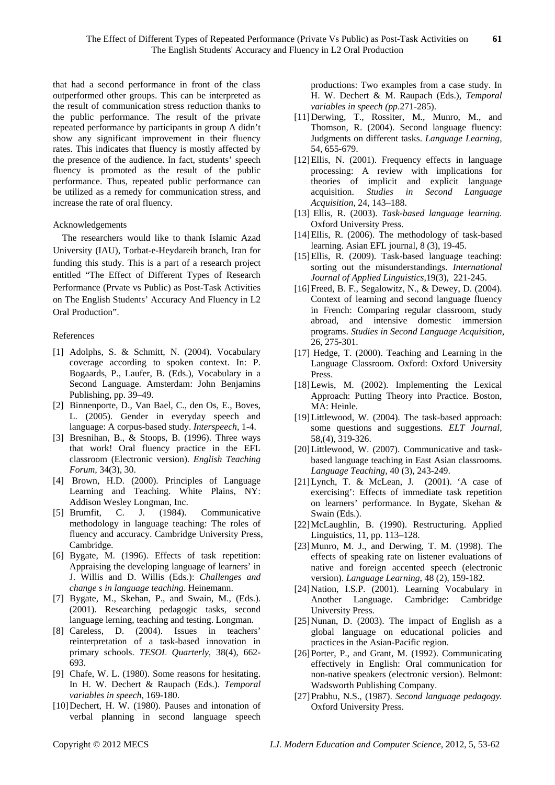that had a second performance in front of the class outperformed other groups. This can be interpreted as the result of communication stress reduction thanks to the public performance. The result of the private repeated performance by participants in group A didn't show any significant improvement in their fluency rates. This indicates that fluency is mostly affected by the presence of the audience. In fact, students' speech fluency is promoted as the result of the public performance. Thus, repeated public performance can be utilized as a remedy for communication stress, and increase the rate of oral fluency.

#### Acknowledgements

The researchers would like to thank Islamic Azad University (IAU), Torbat-e-Heydareih branch, Iran for funding this study. This is a part of a research project entitled "The Effect of Different Types of Research Performance (Prvate vs Public) as Post-Task Activities on The English Students' Accuracy And Fluency in L2 Oral Production".

# References

- [1] Adolphs, S. & Schmitt, N. (2004). Vocabulary coverage according to spoken context. In: P. Bogaards, P., Laufer, B. (Eds.), Vocabulary in a Second Language. Amsterdam: John Benjamins Publishing, pp. 39–49.
- [2] Binnenporte, D., Van Bael, C., den Os, E., Boves, L. (2005). Gender in everyday speech and language: A corpus-based study. *Interspeech,* 1-4.
- [3] Bresnihan, B., & Stoops, B. (1996). Three ways that work! Oral fluency practice in the EFL classroom (Electronic version). *English Teaching Forum,* 34(3), 30.
- [4] Brown, H.D. (2000). Principles of Language Learning and Teaching. White Plains, NY: Addison Wesley Longman, Inc.
- [5] Brumfit, C. J. (1984). Communicative methodology in language teaching: The roles of fluency and accuracy. Cambridge University Press, Cambridge.
- [6] Bygate, M. (1996). Effects of task repetition: Appraising the developing language of learners' in J. Willis and D. Willis (Eds.): *Challenges and change s in language teaching*. Heinemann.
- [7] Bygate, M., Skehan, P., and Swain, M., (Eds.). (2001). Researching pedagogic tasks, second language lerning, teaching and testing. Longman.
- [8] Careless, D. (2004). Issues in teachers' reinterpretation of a task-based innovation in primary schools. *TESOL Quarterly,* 38(4), 662- 693.
- [9] Chafe, W. L. (1980). Some reasons for hesitating. In H. W. Dechert & Raupach (Eds.). *Temporal variables in speech,* 169-180.
- [10] Dechert, H. W. (1980). Pauses and intonation of verbal planning in second language speech

productions: Two examples from a case study. In H. W. Dechert & M. Raupach (Eds.), *Temporal variables in speech (pp*.271-285).

- [11]Derwing, T., Rossiter, M., Munro, M., and Thomson, R. (2004). Second language fluency: Judgments on different tasks. *Language Learning,*  54, 655-679.
- [12] Ellis, N. (2001). Frequency effects in language processing: A review with implications for theories of implicit and explicit language acquisition. *Studies in Second Language Acquisition,* 24, 143–188.
- [13] Ellis, R. (2003). *Task-based language learning.* Oxford University Press.
- [14] Ellis, R. (2006). The methodology of task-based learning. Asian EFL journal, 8 (3), 19-45.
- [15] Ellis, R. (2009). Task-based language teaching: sorting out the misunderstandings. *International Journal of Applied Linguistics,*19(3), 221-245.
- [16] Freed, B. F., Segalowitz, N., & Dewey, D. (2004). Context of learning and second language fluency in French: Comparing regular classroom, study abroad, and intensive domestic immersion programs. *Studies in Second Language Acquisition,*  26, 275-301.
- [17] Hedge, T. (2000). Teaching and Learning in the Language Classroom. Oxford: Oxford University Press.
- [18] Lewis, M. (2002). Implementing the Lexical Approach: Putting Theory into Practice. Boston, MA: Heinle.
- [19]Littlewood, W. (2004). The task-based approach: some questions and suggestions. *ELT Journal,*  58,(4), 319-326.
- [20]Littlewood, W. (2007). Communicative and taskbased language teaching in East Asian classrooms. *Language Teaching,* 40 (3), 243-249.
- [21]Lynch, T. & McLean, J. (2001). 'A case of exercising': Effects of immediate task repetition on learners' performance. In Bygate, Skehan & Swain (Eds.).
- [22]McLaughlin, B. (1990). Restructuring. Applied Linguistics, 11, pp. 113–128.
- [23]Munro, M. J., and Derwing, T. M. (1998). The effects of speaking rate on listener evaluations of native and foreign accented speech (electronic version). *Language Learning,* 48 (2), 159-182*.*
- [24] Nation, I.S.P. (2001). Learning Vocabulary in Another Language. Cambridge: Cambridge University Press.
- [25] Nunan, D. (2003). The impact of English as a global language on educational policies and practices in the Asian-Pacific region.
- [26] Porter, P., and Grant, M. (1992). Communicating effectively in English: Oral communication for non-native speakers (electronic version). Belmont: Wadsworth Publishing Company.
- [27]Prabhu, N.S., (1987). *Second language pedagogy.*  Oxford University Press.